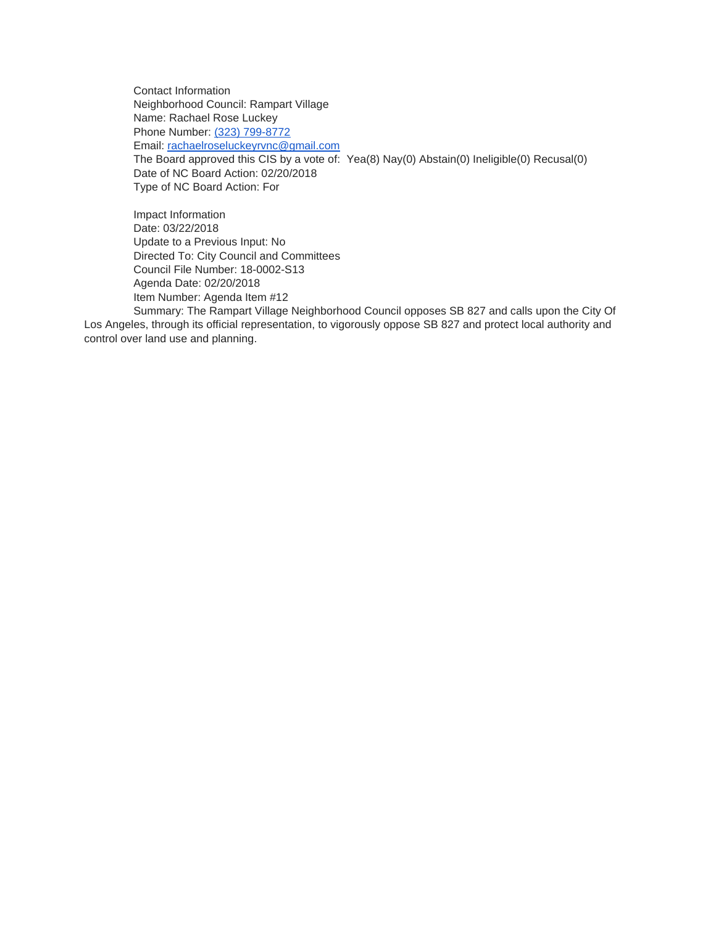Contact Information Neighborhood Council: Rampart Village Name: Rachael Rose Luckey Phone Number: [\(323\) 799-8772](tel:%28323%29%20799-8772) Email: [rachaelroseluckeyrvnc@gmail.com](mailto:rachaelroseluckeyrvnc@gmail.com) The Board approved this CIS by a vote of: Yea(8) Nay(0) Abstain(0) Ineligible(0) Recusal(0) Date of NC Board Action: 02/20/2018 Type of NC Board Action: For

Impact Information Date: 03/22/2018 Update to a Previous Input: No Directed To: City Council and Committees Council File Number: 18-0002-S13 Agenda Date: 02/20/2018 Item Number: Agenda Item #12

Summary: The Rampart Village Neighborhood Council opposes SB 827 and calls upon the City Of Los Angeles, through its official representation, to vigorously oppose SB 827 and protect local authority and control over land use and planning.